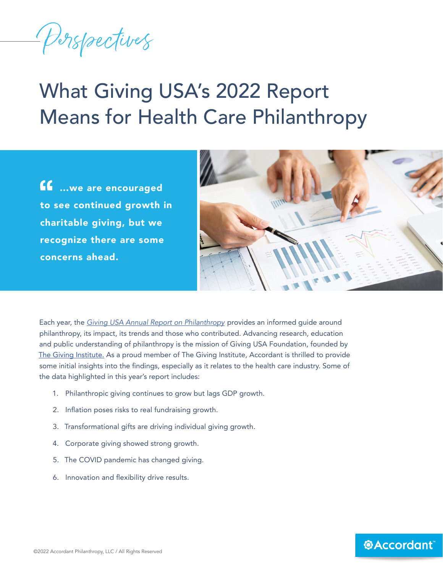Perspectives

# What Giving USA's 2022 Report Means for Health Care Philanthropy

 …we are encouraged to see continued growth in charitable giving, but we recognize there are some concerns ahead.



Each year, the *[Giving USA Annual Report on Philanthropy](https://givingusa.org/)* provides an informed guide around philanthropy, its impact, its trends and those who contributed. Advancing research, education and public understanding of philanthropy is the mission of Giving USA Foundation, founded by [The Giving Institute.](https://www.givinginstitute.org/) As a proud member of The Giving Institute, Accordant is thrilled to provide some initial insights into the findings, especially as it relates to the health care industry. Some of the data highlighted in this year's report includes:

- 1. Philanthropic giving continues to grow but lags GDP growth.
- 2. Inflation poses risks to real fundraising growth.
- 3. Transformational gifts are driving individual giving growth.
- 4. Corporate giving showed strong growth.
- 5. The COVID pandemic has changed giving.
- 6. Innovation and flexibility drive results.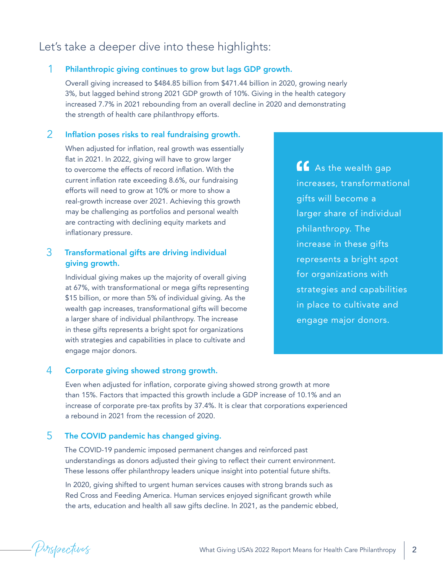# Let's take a deeper dive into these highlights:

# 1 Philanthropic giving continues to grow but lags GDP growth.

Overall giving increased to \$484.85 billion from \$471.44 billion in 2020, growing nearly 3%, but lagged behind strong 2021 GDP growth of 10%. Giving in the health category increased 7.7% in 2021 rebounding from an overall decline in 2020 and demonstrating the strength of health care philanthropy efforts.

### 2 Inflation poses risks to real fundraising growth.

When adjusted for inflation, real growth was essentially flat in 2021. In 2022, giving will have to grow larger to overcome the effects of record inflation. With the current inflation rate exceeding 8.6%, our fundraising efforts will need to grow at 10% or more to show a real-growth increase over 2021. Achieving this growth may be challenging as portfolios and personal wealth are contracting with declining equity markets and inflationary pressure.

# 3 Transformational gifts are driving individual giving growth.

Individual giving makes up the majority of overall giving at 67%, with transformational or mega gifts representing \$15 billion, or more than 5% of individual giving. As the wealth gap increases, transformational gifts will become a larger share of individual philanthropy. The increase in these gifts represents a bright spot for organizations with strategies and capabilities in place to cultivate and engage major donors.

**As the wealth gap** increases, transformational gifts will become a larger share of individual philanthropy. The increase in these gifts represents a bright spot for organizations with strategies and capabilities in place to cultivate and engage major donors.

# 4 Corporate giving showed strong growth.

Even when adjusted for inflation, corporate giving showed strong growth at more than 15%. Factors that impacted this growth include a GDP increase of 10.1% and an increase of corporate pre-tax profits by 37.4%. It is clear that corporations experienced a rebound in 2021 from the recession of 2020.

## 5 The COVID pandemic has changed giving.

The COVID-19 pandemic imposed permanent changes and reinforced past understandings as donors adjusted their giving to reflect their current environment. These lessons offer philanthropy leaders unique insight into potential future shifts.

In 2020, giving shifted to urgent human services causes with strong brands such as Red Cross and Feeding America. Human services enjoyed significant growth while the arts, education and health all saw gifts decline. In 2021, as the pandemic ebbed,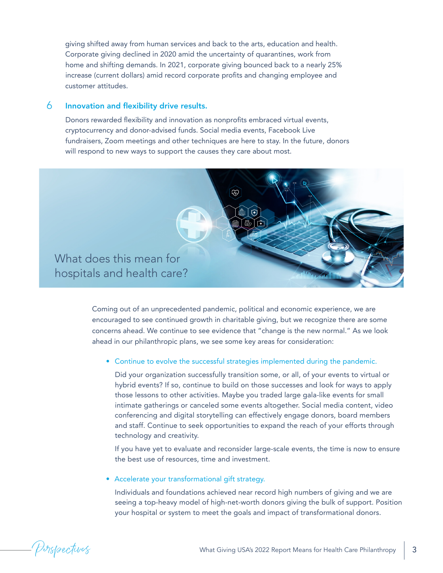giving shifted away from human services and back to the arts, education and health. Corporate giving declined in 2020 amid the uncertainty of quarantines, work from home and shifting demands. In 2021, corporate giving bounced back to a nearly 25% increase (current dollars) amid record corporate profits and changing employee and customer attitudes.

### 6 Innovation and flexibility drive results.

Donors rewarded flexibility and innovation as nonprofits embraced virtual events, cryptocurrency and donor-advised funds. Social media events, Facebook Live fundraisers, Zoom meetings and other techniques are here to stay. In the future, donors will respond to new ways to support the causes they care about most.



Coming out of an unprecedented pandemic, political and economic experience, we are encouraged to see continued growth in charitable giving, but we recognize there are some concerns ahead. We continue to see evidence that "change is the new normal." As we look ahead in our philanthropic plans, we see some key areas for consideration:

#### • Continue to evolve the successful strategies implemented during the pandemic.

Did your organization successfully transition some, or all, of your events to virtual or hybrid events? If so, continue to build on those successes and look for ways to apply those lessons to other activities. Maybe you traded large gala-like events for small intimate gatherings or canceled some events altogether. Social media content, video conferencing and digital storytelling can effectively engage donors, board members and staff. Continue to seek opportunities to expand the reach of your efforts through technology and creativity.

If you have yet to evaluate and reconsider large-scale events, the time is now to ensure the best use of resources, time and investment.

• Accelerate your transformational gift strategy.

Individuals and foundations achieved near record high numbers of giving and we are seeing a top-heavy model of high-net-worth donors giving the bulk of support. Position your hospital or system to meet the goals and impact of transformational donors.